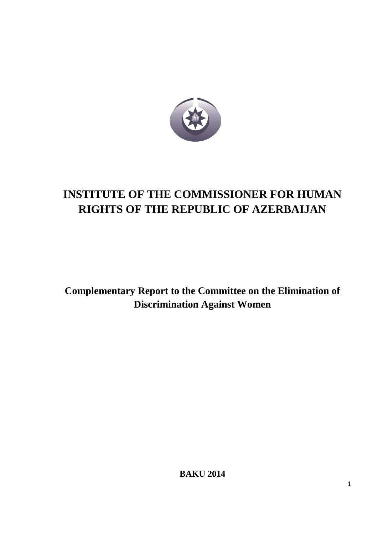

# **INSTITUTE OF THE COMMISSIONER FOR HUMAN RIGHTS OF THE REPUBLIC OF AZERBAIJAN**

**Complementary Report to the Committee on the Elimination of Discrimination Against Women**

**BAKU 2014**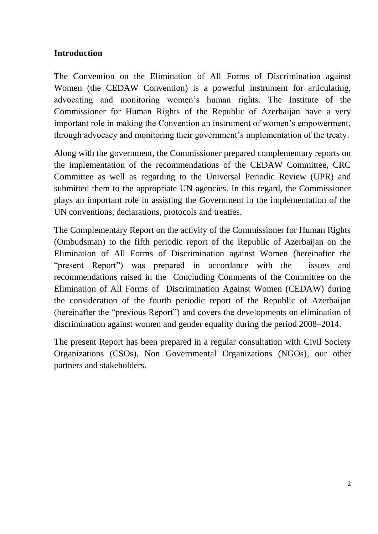#### **Introduction**

The Convention on the Elimination of All Forms of Discrimination against Women (the [CEDAW Convention\)](http://www2.ohchr.org/english/law/cedaw.htm) is a powerful instrument for articulating, advocating and monitoring women's human rights. The Institute of the Commissioner for Human Rights of the Republic of Azerbaijan have a very important role in making the Convention an instrument of women's empowerment, through advocacy and monitoring their government's implementation of the treaty.

Along with the government, the Commissioner prepared complementary reports on the implementation of the recommendations of the CEDAW Committee, CRC Committee as well as regarding to the Universal Periodic Review (UPR) and submitted them to the appropriate UN agencies. In this regard, the Commissioner plays an important role in assisting the Government in the implementation of the UN conventions, declarations, protocols and treaties.

The Complementary Report on the activity of the Commissioner for Human Rights (Ombudsman) to the fifth periodic report of the Republic of Azerbaijan on the Elimination of All Forms of Discrimination against Women (hereinafter the "present Report") was prepared in accordance with the issues and recommendations raised in the Concluding Comments of the Committee on the Elimination of All Forms of Discrimination Against Women (CEDAW) during the consideration of the fourth periodic report of the Republic of Azerbaijan (hereinafter the "previous Report") and covers the developments on elimination of discrimination against women and gender equality during the period 2008–2014.

The present Report has been prepared in a regular consultation with Civil Society Organizations (CSOs), Non Governmental Organizations (NGOs), our other partners and stakeholders.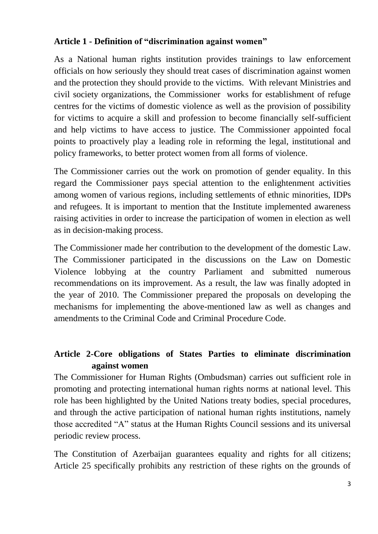## **Article 1 - Definition of "discrimination against women"**

As a National human rights institution provides trainings to law enforcement officials on how seriously they should treat cases of discrimination against women and the protection they should provide to the victims. With relevant Ministries and civil society organizations, the Commissioner works for establishment of refuge centres for the victims of domestic violence as well as the provision of possibility for victims to acquire a skill and profession to become financially self-sufficient and help victims to have access to justice. The Commissioner appointed focal points to proactively play a leading role in reforming the legal, institutional and policy frameworks, to better protect women from all forms of violence.

The Commissioner carries out the work on promotion of gender equality. In this regard the Commissioner pays special attention to the enlightenment activities among women of various regions, including settlements of ethnic minorities, IDPs and refugees. It is important to mention that the Institute implemented awareness raising activities in order to increase the participation of women in election as well as in decision-making process.

The Commissioner made her contribution to the development of the domestic Law. The Commissioner participated in the discussions on the Law on Domestic Violence lobbying at the country Parliament and submitted numerous recommendations on its improvement. As a result, the law was finally adopted in the year of 2010. The Commissioner prepared the proposals on developing the mechanisms for implementing the above-mentioned law as well as changes and amendments to the Criminal Code and Criminal Procedure Code.

# **Article 2-Core obligations of States Parties to eliminate discrimination against women**

The Commissioner for Human Rights (Ombudsman) carries out sufficient role in promoting and protecting international human rights norms at national level. This role has been highlighted by the United Nations treaty bodies, special procedures, and through the active participation of national human rights institutions, namely those accredited "A" status at the Human Rights Council sessions and its universal periodic review process.

The Constitution of Azerbaijan guarantees equality and rights for all citizens; Article 25 specifically prohibits any restriction of these rights on the grounds of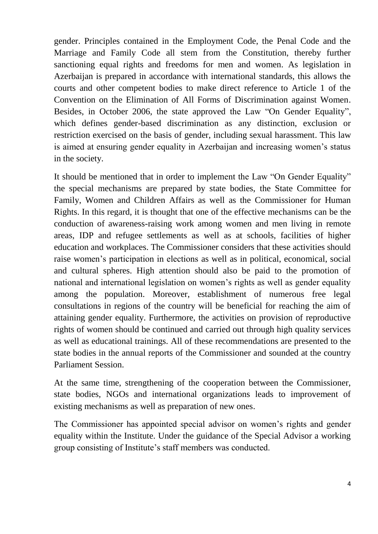gender. Principles contained in the Employment Code, the Penal Code and the Marriage and [Family Code](http://www.wikigender.org/index.php/Family_Code) all stem from the Constitution, thereby further sanctioning equal rights and freedoms for men and women. As legislation in Azerbaijan is prepared in accordance with international standards, this allows the courts and other competent bodies to make direct reference to Article 1 of the [Convention on the Elimination of All Forms of Discrimination against Women.](http://www.wikigender.org/index.php/CEDAW) Besides, in October 2006, the state approved the Law "On [Gender Equality"](http://www.wikigender.org/index.php/Gender_equality), which defines gender-based discrimination as any distinction, exclusion or restriction exercised on the basis of gender, including [sexual harassment.](http://www.wikigender.org/index.php/Sexual_Harassment) This law is aimed at ensuring gender equality in Azerbaijan and increasing women's status in the society.

It should be mentioned that in order to implement the Law "On Gender Equality" the special mechanisms are prepared by state bodies, the State Committee for Family, Women and Children Affairs as well as the Commissioner for Human Rights. In this regard, it is thought that one of the effective mechanisms can be the conduction of awareness-raising work among women and men living in remote areas, IDP and refugee settlements as well as at schools, facilities of higher education and workplaces. The Commissioner considers that these activities should raise women's participation in elections as well as in political, economical, social and cultural spheres. High attention should also be paid to the promotion of national and international legislation on women's rights as well as gender equality among the population. Moreover, establishment of numerous free legal consultations in regions of the country will be beneficial for reaching the aim of attaining gender equality. Furthermore, the activities on provision of reproductive rights of women should be continued and carried out through high quality services as well as educational trainings. All of these recommendations are presented to the state bodies in the annual reports of the Commissioner and sounded at the country Parliament Session.

At the same time, strengthening of the cooperation between the Commissioner, state bodies, NGOs and international organizations leads to improvement of existing mechanisms as well as preparation of new ones.

The Commissioner has appointed special advisor on women's rights and gender equality within the Institute. Under the guidance of the Special Advisor a working group consisting of Institute's staff members was conducted.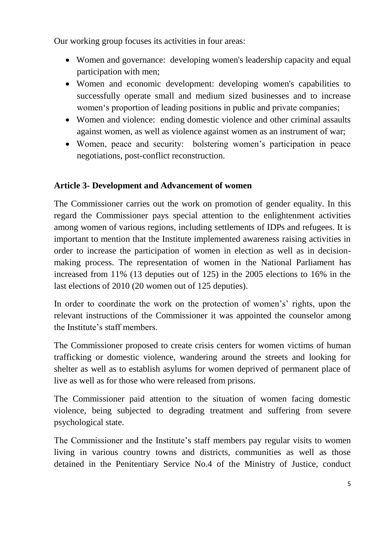Our working group focuses its activities in four areas:

- Women and governance: developing women's leadership capacity and equal participation with men;
- Women and economic development: developing women's capabilities to successfully operate small and medium sized businesses and to increase women's proportion of leading positions in public and private companies;
- Women and violence: ending domestic violence and other criminal assaults against women, as well as violence against women as an instrument of war;
- Women, peace and security: bolstering women's participation in peace negotiations, post-conflict reconstruction.

# **Article 3- Development and Advancement of women**

The Commissioner carries out the work on promotion of gender equality. In this regard the Commissioner pays special attention to the enlightenment activities among women of various regions, including settlements of IDPs and refugees. It is important to mention that the Institute implemented awareness raising activities in order to increase the participation of women in election as well as in decisionmaking process. The representation of women in the National Parliament has increased from 11% (13 deputies out of 125) in the 2005 elections to 16% in the last elections of 2010 (20 women out of 125 deputies).

In order to coordinate the work on the protection of women's' rights, upon the relevant instructions of the Commissioner it was appointed the counselor among the Institute's staff members.

The Commissioner proposed to create crisis centers for women victims of human trafficking or domestic violence, wandering around the streets and looking for shelter as well as to establish asylums for women deprived of permanent place of live as well as for those who were released from prisons.

The Commissioner paid attention to the situation of women facing domestic violence, being subjected to degrading treatment and suffering from severe psychological state.

The Commissioner and the Institute's staff members pay regular visits to women living in various country towns and districts, communities as well as those detained in the Penitentiary Service No.4 of the Ministry of Justice, conduct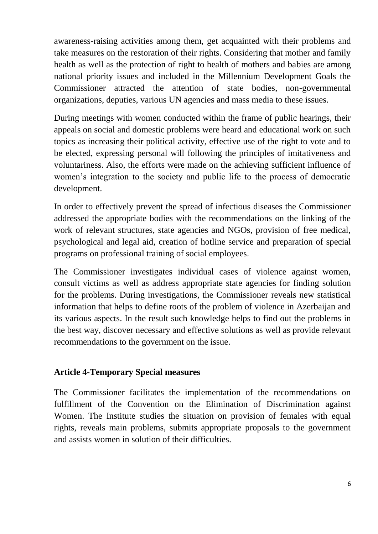awareness-raising activities among them, get acquainted with their problems and take measures on the restoration of their rights. Considering that mother and family health as well as the protection of right to health of mothers and babies are among national priority issues and included in the Millennium Development Goals the Commissioner attracted the attention of state bodies, non-governmental organizations, deputies, various UN agencies and mass media to these issues.

During meetings with women conducted within the frame of public hearings, their appeals on social and domestic problems were heard and educational work on such topics as increasing their political activity, effective use of the right to vote and to be elected, expressing personal will following the principles of imitativeness and voluntariness. Also, the efforts were made on the achieving sufficient influence of women's integration to the society and public life to the process of democratic development.

In order to effectively prevent the spread of infectious diseases the Commissioner addressed the appropriate bodies with the recommendations on the linking of the work of relevant structures, state agencies and NGOs, provision of free medical, psychological and legal aid, creation of hotline service and preparation of special programs on professional training of social employees.

The Commissioner investigates individual cases of violence against women, consult victims as well as address appropriate state agencies for finding solution for the problems. During investigations, the Commissioner reveals new statistical information that helps to define roots of the problem of violence in Azerbaijan and its various aspects. In the result such knowledge helps to find out the problems in the best way, discover necessary and effective solutions as well as provide relevant recommendations to the government on the issue.

#### **Article 4-Temporary Special measures**

The Commissioner facilitates the implementation of the recommendations on fulfillment of the Convention on the Elimination of Discrimination against Women. The Institute studies the situation on provision of females with equal rights, reveals main problems, submits appropriate proposals to the government and assists women in solution of their difficulties.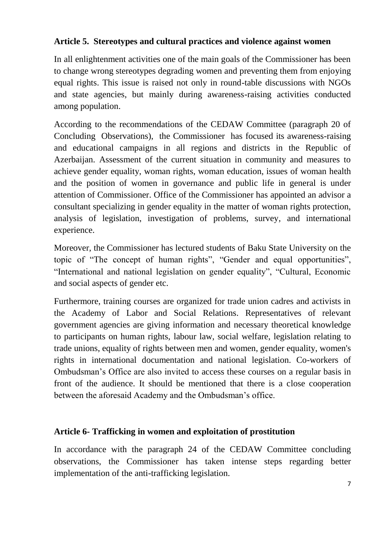#### **Article 5. Stereotypes and cultural practices and violence against women**

In all enlightenment activities one of the main goals of the Commissioner has been to change wrong stereotypes degrading women and preventing them from enjoying equal rights. This issue is raised not only in round-table discussions with NGOs and state agencies, but mainly during awareness-raising activities conducted among population.

According to the recommendations of the CEDAW Committee (paragraph 20 of Concluding Observations), the Commissioner has focused its awareness-raising and educational campaigns in all regions and districts in the Republic of Azerbaijan. Assessment of the current situation in community and measures to achieve gender equality, woman rights, woman education, issues of woman health and the position of women in governance and public life in general is under attention of Commissioner. Office of the Commissioner has appointed an advisor a consultant specializing in gender equality in the matter of woman rights protection, analysis of legislation, investigation of problems, survey, and international experience.

Moreover, the Commissioner has lectured students of Baku State University on the topic of "The concept of human rights", "Gender and equal opportunities", "International and national legislation on gender equality", "Cultural, Economic and social aspects of gender etc.

Furthermore, training courses are organized for trade union cadres and activists in the Academy of Labor and Social Relations. Representatives of relevant government agencies are giving information and necessary theoretical knowledge to participants on human rights, labour law, social welfare, legislation relating to trade unions, equality of rights between men and women, gender equality, women's rights in international documentation and national legislation. Co-workers of Ombudsman's Office are also invited to access these courses on a regular basis in front of the audience. It should be mentioned that there is a close cooperation between the aforesaid Academy and the Ombudsman's office.

#### **Article 6- Trafficking in women and exploitation of prostitution**

In accordance with the paragraph 24 of the CEDAW Committee concluding observations, the Commissioner has taken intense steps regarding better implementation of the anti-trafficking legislation.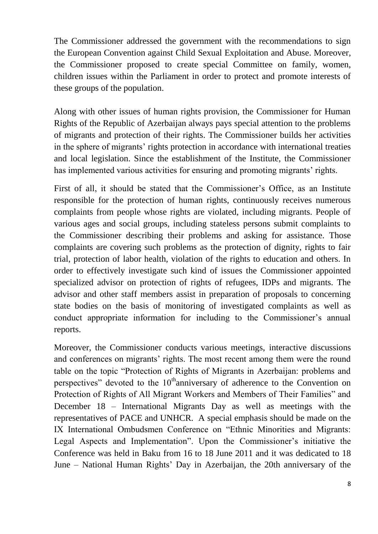The Commissioner addressed the government with the recommendations to sign the European Convention against Child Sexual Exploitation and Abuse. Moreover, the Commissioner proposed to create special Committee on family, women, children issues within the Parliament in order to protect and promote interests of these groups of the population.

Along with other issues of human rights provision, the Commissioner for Human Rights of the Republic of Azerbaijan always pays special attention to the problems of migrants and protection of their rights. The Commissioner builds her activities in the sphere of migrants' rights protection in accordance with international treaties and local legislation. Since the establishment of the Institute, the Commissioner has implemented various activities for ensuring and promoting migrants' rights.

First of all, it should be stated that the Commissioner's Office, as an Institute responsible for the protection of human rights, continuously receives numerous complaints from people whose rights are violated, including migrants. People of various ages and social groups, including stateless persons submit complaints to the Commissioner describing their problems and asking for assistance. Those complaints are covering such problems as the protection of dignity, rights to fair trial, protection of labor health, violation of the rights to education and others. In order to effectively investigate such kind of issues the Commissioner appointed specialized advisor on protection of rights of refugees, IDPs and migrants. The advisor and other staff members assist in preparation of proposals to concerning state bodies on the basis of monitoring of investigated complaints as well as conduct appropriate information for including to the Commissioner's annual reports.

Moreover, the Commissioner conducts various meetings, interactive discussions and conferences on migrants' rights. The most recent among them were the round table on the topic "Protection of Rights of Migrants in Azerbaijan: problems and perspectives" devoted to the  $10<sup>th</sup>$ anniversary of adherence to the Convention on Protection of Rights of All Migrant Workers and Members of Their Families" and December 18 – International Migrants Day as well as meetings with the representatives of PACE and UNHCR. A special emphasis should be made on the IX International Ombudsmen Conference on "Ethnic Minorities and Migrants: Legal Aspects and Implementation". Upon the Commissioner's initiative the Conference was held in Baku from 16 to 18 June 2011 and it was dedicated to 18 June – National Human Rights' Day in Azerbaijan, the 20th anniversary of the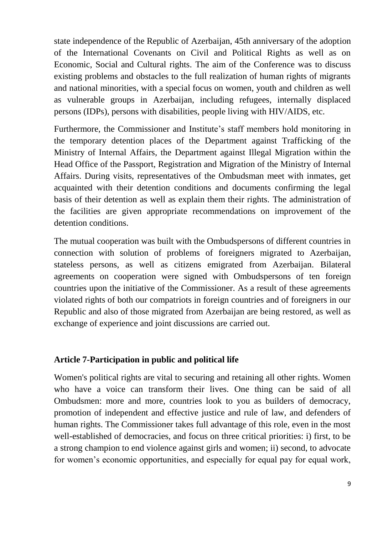state independence of the Republic of Azerbaijan, 45th anniversary of the adoption of the International Covenants on Civil and Political Rights as well as on Economic, Social and Cultural rights. The aim of the Conference was to discuss existing problems and obstacles to the full realization of human rights of migrants and national minorities, with a special focus on women, youth and children as well as vulnerable groups in Azerbaijan, including refugees, internally displaced persons (IDPs), persons with disabilities, people living with HIV/AIDS, etc.

Furthermore, the Commissioner and Institute's staff members hold monitoring in the temporary detention places of the Department against Trafficking of the Ministry of Internal Affairs, the Department against Illegal Migration within the Head Office of the Passport, Registration and Migration of the Ministry of Internal Affairs. During visits, representatives of the Ombudsman meet with inmates, get acquainted with their detention conditions and documents confirming the legal basis of their detention as well as explain them their rights. The administration of the facilities are given appropriate recommendations on improvement of the detention conditions.

The mutual cooperation was built with the Ombudspersons of different countries in connection with solution of problems of foreigners migrated to Azerbaijan, stateless persons, as well as citizens emigrated from Azerbaijan. Bilateral agreements on cooperation were signed with Ombudspersons of ten foreign countries upon the initiative of the Commissioner. As a result of these agreements violated rights of both our compatriots in foreign countries and of foreigners in our Republic and also of those migrated from Azerbaijan are being restored, as well as exchange of experience and joint discussions are carried out.

#### **Article 7-Participation in public and political life**

Women's political rights are vital to securing and retaining all other rights. Women who have a voice can transform their lives. One thing can be said of all Ombudsmen: more and more, countries look to you as builders of democracy, promotion of independent and effective justice and rule of law, and defenders of human rights. The Commissioner takes full advantage of this role, even in the most well-established of democracies, and focus on three critical priorities: i) first, to be a strong champion to end violence against girls and women; ii) second, to advocate for women's economic opportunities, and especially for equal pay for equal work,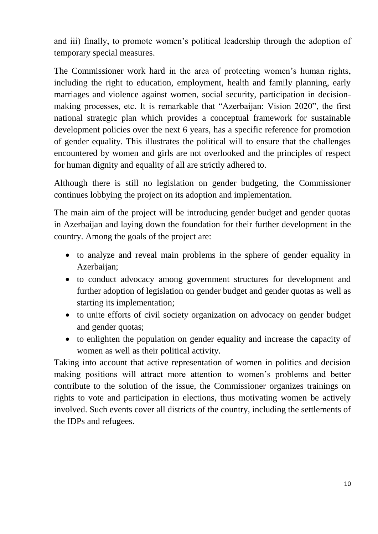and iii) finally, to promote women's political leadership through the adoption of temporary special measures.

The Commissioner work hard in the area of protecting women's human rights, including the right to education, employment, health and family planning, early marriages and violence against women, social security, participation in decisionmaking processes, etc. It is remarkable that "Azerbaijan: Vision 2020", the first national strategic plan which provides a conceptual framework for sustainable development policies over the next 6 years, has a specific reference for promotion of gender equality. This illustrates the political will to ensure that the challenges encountered by women and girls are not overlooked and the principles of respect for human dignity and equality of all are strictly adhered to.

Although there is still no legislation on gender budgeting, the Commissioner continues lobbying the project on its adoption and implementation.

The main aim of the project will be introducing gender budget and gender quotas in Azerbaijan and laying down the foundation for their further development in the country. Among the goals of the project are:

- to analyze and reveal main problems in the sphere of gender equality in Azerbaijan;
- to conduct advocacy among government structures for development and further adoption of legislation on gender budget and gender quotas as well as starting its implementation;
- to unite efforts of civil society organization on advocacy on gender budget and gender quotas;
- to enlighten the population on gender equality and increase the capacity of women as well as their political activity.

Taking into account that active representation of women in politics and decision making positions will attract more attention to women's problems and better contribute to the solution of the issue, the Commissioner organizes trainings on rights to vote and participation in elections, thus motivating women be actively involved. Such events cover all districts of the country, including the settlements of the IDPs and refugees.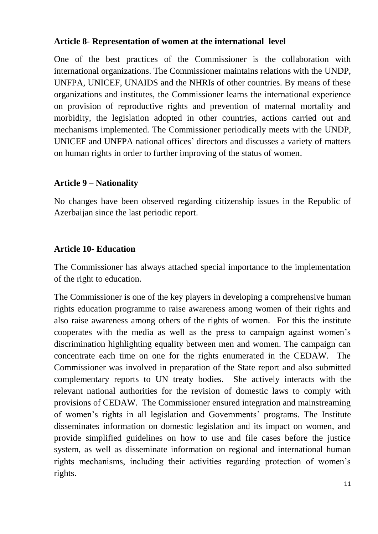#### **Article 8- Representation of women at the international level**

One of the best practices of the Commissioner is the collaboration with international organizations. The Commissioner maintains relations with the UNDP, UNFPA, UNICEF, UNAIDS and the NHRIs of other countries. By means of these organizations and institutes, the Commissioner learns the international experience on provision of reproductive rights and prevention of maternal mortality and morbidity, the legislation adopted in other countries, actions carried out and mechanisms implemented. The Commissioner periodically meets with the UNDP, UNICEF and UNFPA national offices' directors and discusses a variety of matters on human rights in order to further improving of the status of women.

#### **Article 9 – Nationality**

No changes have been observed regarding citizenship issues in the Republic of Azerbaijan since the last periodic report.

#### **Article 10- Education**

The Commissioner has always attached special importance to the implementation of the right to education.

The Commissioner is one of the key players in developing a comprehensive human rights education programme to raise awareness among women of their rights and also raise awareness among others of the rights of women. For this the institute cooperates with the media as well as the press to campaign against women's discrimination highlighting equality between men and women. The campaign can concentrate each time on one for the rights enumerated in the CEDAW. The Commissioner was involved in preparation of the State report and also submitted complementary reports to UN treaty bodies. She actively interacts with the relevant national authorities for the revision of domestic laws to comply with provisions of CEDAW. The Commissioner ensured integration and mainstreaming of women's rights in all legislation and Governments' programs. The Institute disseminates information on domestic legislation and its impact on women, and provide simplified guidelines on how to use and file cases before the justice system, as well as disseminate information on regional and international human rights mechanisms, including their activities regarding protection of women's rights.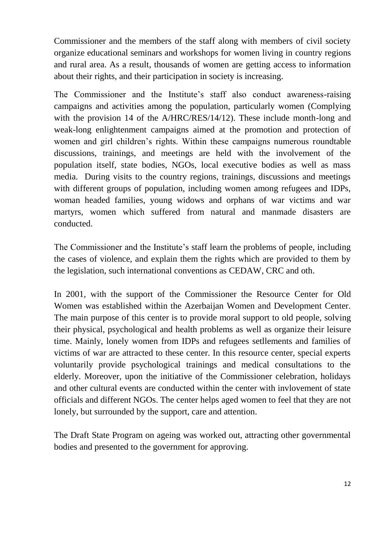Commissioner and the members of the staff along with members of civil society organize educational seminars and workshops for women living in country regions and rural area. As a result, thousands of women are getting access to information about their rights, and their participation in society is increasing.

The Commissioner and the Institute's staff also conduct awareness-raising campaigns and activities among the population, particularly women (Complying with the provision 14 of the A/HRC/RES/14/12). These include month-long and weak-long enlightenment campaigns aimed at the promotion and protection of women and girl children's rights. Within these campaigns numerous roundtable discussions, trainings, and meetings are held with the involvement of the population itself, state bodies, NGOs, local executive bodies as well as mass media. During visits to the country regions, trainings, discussions and meetings with different groups of population, including women among refugees and IDPs, woman headed families, young widows and orphans of war victims and war martyrs, women which suffered from natural and manmade disasters are conducted.

The Commissioner and the Institute's staff learn the problems of people, including the cases of violence, and explain them the rights which are provided to them by the legislation, such international conventions as CEDAW, CRC and oth.

In 2001, with the support of the Commissioner the Resource Center for Old Women was established within the Azerbaijan Women and Development Center. The main purpose of this center is to provide moral support to old people, solving their physical, psychological and health problems as well as organize their leisure time. Mainly, lonely women from IDPs and refugees setllements and families of victims of war are attracted to these center. In this resource center, special experts voluntarily provide psychological trainings and medical consultations to the elderly. Moreover, upon the initiative of the Commissioner celebration, holidays and other cultural events are conducted within the center with invlovement of state officials and different NGOs. The center helps aged women to feel that they are not lonely, but surrounded by the support, care and attention.

The Draft State Program on ageing was worked out, attracting other governmental bodies and presented to the government for approving.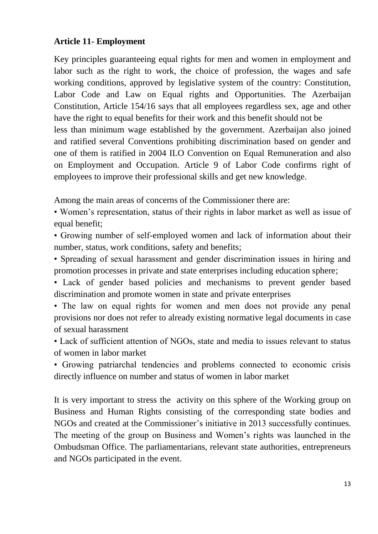## **Article 11- Employment**

Key principles guaranteeing equal rights for men and women in employment and labor such as the right to work, the choice of profession, the wages and safe working conditions, approved by legislative system of the country: Constitution, Labor Code and Law on Equal rights and Opportunities. The Azerbaijan Constitution, Article 154/16 says that all employees regardless sex, age and other have the right to equal benefits for their work and this benefit should not be less than minimum wage established by the government. Azerbaijan also joined and ratified several Conventions prohibiting discrimination based on gender and one of them is ratified in 2004 ILO Convention on Equal Remuneration and also on Employment and Occupation. Article 9 of Labor Code confirms right of

employees to improve their professional skills and get new knowledge.

Among the main areas of concerns of the Commissioner there are:

• Women's representation, status of their rights in labor market as well as issue of equal benefit:

• Growing number of self-employed women and lack of information about their number, status, work conditions, safety and benefits;

• Spreading of sexual harassment and gender discrimination issues in hiring and promotion processes in private and state enterprises including education sphere;

• Lack of gender based policies and mechanisms to prevent gender based discrimination and promote women in state and private enterprises

• The law on equal rights for women and men does not provide any penal provisions nor does not refer to already existing normative legal documents in case of sexual harassment

• Lack of sufficient attention of NGOs, state and media to issues relevant to status of women in labor market

• Growing patriarchal tendencies and problems connected to economic crisis directly influence on number and status of women in labor market

It is very important to stress the activity on this sphere of the Working group on Business and Human Rights consisting of the corresponding state bodies and NGOs and created at the Commissioner's initiative in 2013 successfully continues. The meeting of the group on Business and Women's rights was launched in the Ombudsman Office. The parliamentarians, relevant state authorities, entrepreneurs and NGOs participated in the event.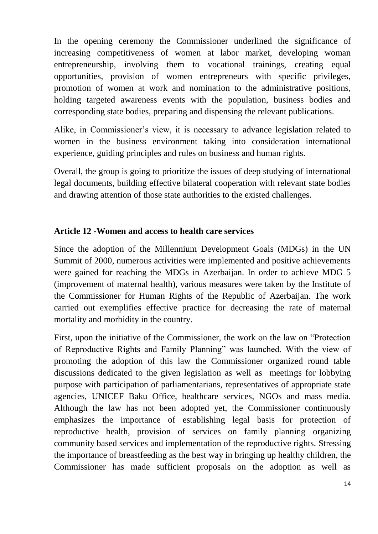In the opening ceremony the Commissioner underlined the significance of increasing competitiveness of women at labor market, developing woman entrepreneurship, involving them to vocational trainings, creating equal opportunities, provision of women entrepreneurs with specific privileges, promotion of women at work and nomination to the administrative positions, holding targeted awareness events with the population, business bodies and corresponding state bodies, preparing and dispensing the relevant publications.

Alike, in Commissioner's view, it is necessary to advance legislation related to women in the business environment taking into consideration international experience, guiding principles and rules on business and human rights.

Overall, the group is going to prioritize the issues of deep studying of international legal documents, building effective bilateral cooperation with relevant state bodies and drawing attention of those state authorities to the existed challenges.

#### **Article 12 -Women and access to health care services**

Since the adoption of the Millennium Development Goals (MDGs) in the UN Summit of 2000, numerous activities were implemented and positive achievements were gained for reaching the MDGs in Azerbaijan. In order to achieve MDG 5 (improvement of maternal health), various measures were taken by the Institute of the Commissioner for Human Rights of the Republic of Azerbaijan. The work carried out exemplifies effective practice for decreasing the rate of maternal mortality and morbidity in the country.

First, upon the initiative of the Commissioner, the work on the law on "Protection of Reproductive Rights and Family Planning" was launched. With the view of promoting the adoption of this law the Commissioner organized round table discussions dedicated to the given legislation as well as meetings for lobbying purpose with participation of parliamentarians, representatives of appropriate state agencies, UNICEF Baku Office, healthcare services, NGOs and mass media. Although the law has not been adopted yet, the Commissioner continuously emphasizes the importance of establishing legal basis for protection of reproductive health, provision of services on family planning organizing community based services and implementation of the reproductive rights. Stressing the importance of breastfeeding as the best way in bringing up healthy children, the Commissioner has made sufficient proposals on the adoption as well as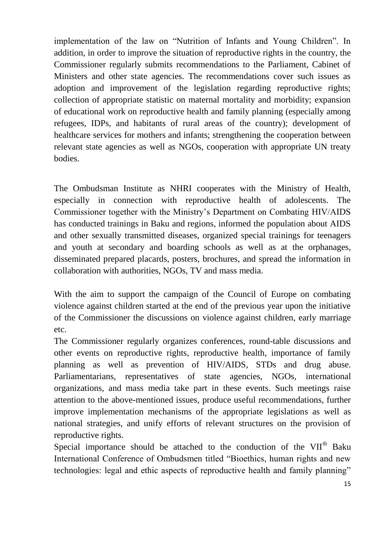implementation of the law on "Nutrition of Infants and Young Children". In addition, in order to improve the situation of reproductive rights in the country, the Commissioner regularly submits recommendations to the Parliament, Cabinet of Ministers and other state agencies. The recommendations cover such issues as adoption and improvement of the legislation regarding reproductive rights; collection of appropriate statistic on maternal mortality and morbidity; expansion of educational work on reproductive health and family planning (especially among refugees, IDPs, and habitants of rural areas of the country); development of healthcare services for mothers and infants; strengthening the cooperation between relevant state agencies as well as NGOs, cooperation with appropriate UN treaty bodies.

The Ombudsman Institute as NHRI cooperates with the Ministry of Health, especially in connection with reproductive health of adolescents. The Commissioner together with the Ministry's Department on Combating HIV/AIDS has conducted trainings in Baku and regions, informed the population about AIDS and other sexually transmitted diseases, organized special trainings for teenagers and youth at secondary and boarding schools as well as at the orphanages, disseminated prepared placards, posters, brochures, and spread the information in collaboration with authorities, NGOs, TV and mass media.

With the aim to support the campaign of the Council of Europe on combating violence against children started at the end of the previous year upon the initiative of the Commissioner the discussions on violence against children, early marriage etc.

The Commissioner regularly organizes conferences, round-table discussions and other events on reproductive rights, reproductive health, importance of family planning as well as prevention of HIV/AIDS, STDs and drug abuse. Parliamentarians, representatives of state agencies, NGOs, international organizations, and mass media take part in these events. Such meetings raise attention to the above-mentioned issues, produce useful recommendations, further improve implementation mechanisms of the appropriate legislations as well as national strategies, and unify efforts of relevant structures on the provision of reproductive rights.

Special importance should be attached to the conduction of the  $VII<sup>th</sup>$  Baku International Conference of Ombudsmen titled "Bioethics, human rights and new technologies: legal and ethic aspects of reproductive health and family planning"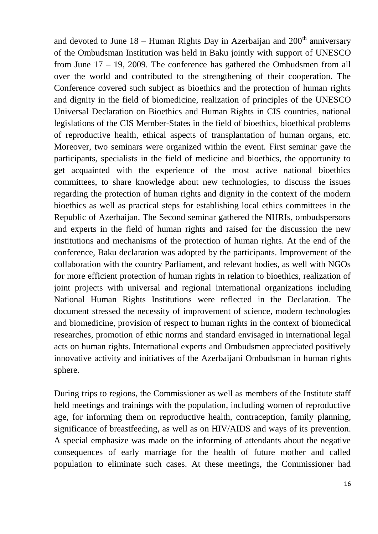and devoted to June  $18$  – Human Rights Day in Azerbaijan and  $200<sup>th</sup>$  anniversary of the Ombudsman Institution was held in Baku jointly with support of UNESCO from June 17 – 19, 2009. The conference has gathered the Ombudsmen from all over the world and contributed to the strengthening of their cooperation. The Conference covered such subject as bioethics and the protection of human rights and dignity in the field of biomedicine, realization of principles of the UNESCO Universal Declaration on Bioethics and Human Rights in CIS countries, national legislations of the CIS Member-States in the field of bioethics, bioethical problems of reproductive health, ethical aspects of transplantation of human organs, etc. Moreover, two seminars were organized within the event. First seminar gave the participants, specialists in the field of medicine and bioethics, the opportunity to get acquainted with the experience of the most active national bioethics committees, to share knowledge about new technologies, to discuss the issues regarding the protection of human rights and dignity in the context of the modern bioethics as well as practical steps for establishing local ethics committees in the Republic of Azerbaijan. The Second seminar gathered the NHRIs, ombudspersons and experts in the field of human rights and raised for the discussion the new institutions and mechanisms of the protection of human rights. At the end of the conference, Baku declaration was adopted by the participants. Improvement of the collaboration with the country Parliament, and relevant bodies, as well with NGOs for more efficient protection of human rights in relation to bioethics, realization of joint projects with universal and regional international organizations including National Human Rights Institutions were reflected in the Declaration. The document stressed the necessity of improvement of science, modern technologies and biomedicine, provision of respect to human rights in the context of biomedical researches, promotion of ethic norms and standard envisaged in international legal acts on human rights. International experts and Ombudsmen appreciated positively innovative activity and initiatives of the Azerbaijani Ombudsman in human rights sphere.

During trips to regions, the Commissioner as well as members of the Institute staff held meetings and trainings with the population, including women of reproductive age, for informing them on reproductive health, contraception, family planning, significance of breastfeeding, as well as on HIV/AIDS and ways of its prevention. A special emphasize was made on the informing of attendants about the negative consequences of early marriage for the health of future mother and called population to eliminate such cases. At these meetings, the Commissioner had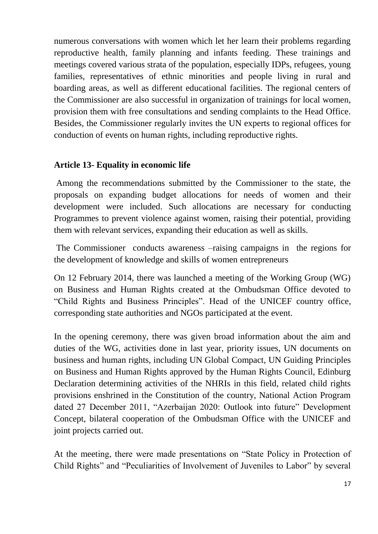numerous conversations with women which let her learn their problems regarding reproductive health, family planning and infants feeding. These trainings and meetings covered various strata of the population, especially IDPs, refugees, young families, representatives of ethnic minorities and people living in rural and boarding areas, as well as different educational facilities. The regional centers of the Commissioner are also successful in organization of trainings for local women, provision them with free consultations and sending complaints to the Head Office. Besides, the Commissioner regularly invites the UN experts to regional offices for conduction of events on human rights, including reproductive rights.

#### **Article 13- Equality in economic life**

Among the recommendations submitted by the Commissioner to the state, the proposals on expanding budget allocations for needs of women and their development were included. Such allocations are necessary for conducting Programmes to prevent violence against women, raising their potential, providing them with relevant services, expanding their education as well as skills.

The Commissioner conducts awareness –raising campaigns in the regions for the development of knowledge and skills of women entrepreneurs

On 12 February 2014, there was launched a meeting of the Working Group (WG) on Business and Human Rights created at the Ombudsman Office devoted to "Child Rights and Business Principles". Head of the UNICEF country office, corresponding state authorities and NGOs participated at the event.

In the opening ceremony, there was given broad information about the aim and duties of the WG, activities done in last year, priority issues, UN documents on business and human rights, including UN Global Compact, UN Guiding Principles on Business and Human Rights approved by the Human Rights Council, Edinburg Declaration determining activities of the NHRIs in this field, related child rights provisions enshrined in the Constitution of the country, National Action Program dated 27 December 2011, "Azerbaijan 2020: Outlook into future" Development Concept, bilateral cooperation of the Ombudsman Office with the UNICEF and joint projects carried out.

At the meeting, there were made presentations on "State Policy in Protection of Child Rights" and "Peculiarities of Involvement of Juveniles to Labor" by several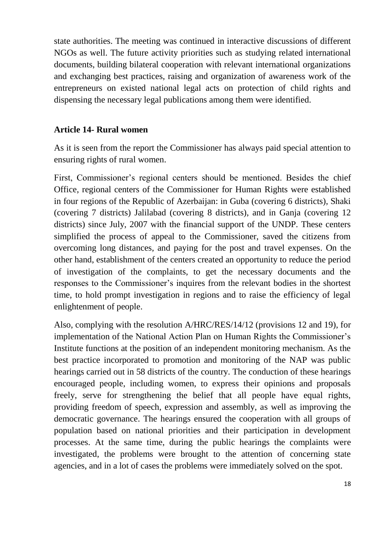state authorities. The meeting was continued in interactive discussions of different NGOs as well. The future activity priorities such as studying related international documents, building bilateral cooperation with relevant international organizations and exchanging best practices, raising and organization of awareness work of the entrepreneurs on existed national legal acts on protection of child rights and dispensing the necessary legal publications among them were identified.

#### **Article 14- Rural women**

As it is seen from the report the Commissioner has always paid special attention to ensuring rights of rural women.

First, Commissioner's regional centers should be mentioned. Besides the chief Office, regional centers of the Commissioner for Human Rights were established in four regions of the Republic of Azerbaijan: in Guba (covering 6 districts), Shaki (covering 7 districts) Jalilabad (covering 8 districts), and in Ganja (covering 12 districts) since July, 2007 with the financial support of the UNDP. These centers simplified the process of appeal to the Commissioner, saved the citizens from overcoming long distances, and paying for the post and travel expenses. On the other hand, establishment of the centers created an opportunity to reduce the period of investigation of the complaints, to get the necessary documents and the responses to the Commissioner's inquires from the relevant bodies in the shortest time, to hold prompt investigation in regions and to raise the efficiency of legal enlightenment of people.

Also, complying with the resolution A/HRC/RES/14/12 (provisions 12 and 19), for implementation of the National Action Plan on Human Rights the Commissioner's Institute functions at the position of an independent monitoring mechanism. As the best practice incorporated to promotion and monitoring of the NAP was public hearings carried out in 58 districts of the country. The conduction of these hearings encouraged people, including women, to express their opinions and proposals freely, serve for strengthening the belief that all people have equal rights, providing freedom of speech, expression and assembly, as well as improving the democratic governance. The hearings ensured the cooperation with all groups of population based on national priorities and their participation in development processes. At the same time, during the public hearings the complaints were investigated, the problems were brought to the attention of concerning state agencies, and in a lot of cases the problems were immediately solved on the spot.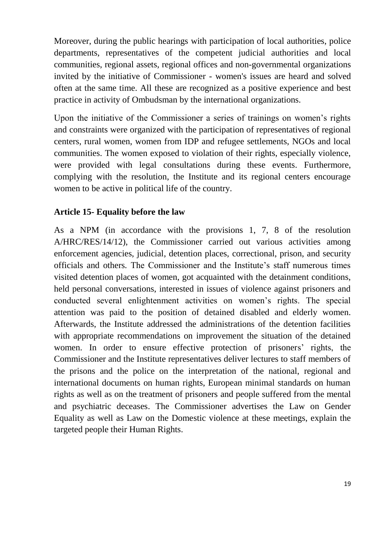Moreover, during the public hearings with participation of local authorities, police departments, representatives of the competent judicial authorities and local communities, regional assets, regional offices and non-governmental organizations invited by the initiative of Commissioner - women's issues are heard and solved often at the same time. All these are recognized as a positive experience and best practice in activity of Ombudsman by the international organizations.

Upon the initiative of the Commissioner a series of trainings on women's rights and constraints were organized with the participation of representatives of regional centers, rural women, women from IDP and refugee settlements, NGOs and local communities. The women exposed to violation of their rights, especially violence, were provided with legal consultations during these events. Furthermore, complying with the resolution, the Institute and its regional centers encourage women to be active in political life of the country.

#### **Article 15- Equality before the law**

As a NPM (in accordance with the provisions 1, 7, 8 of the resolution A/HRC/RES/14/12), the Commissioner carried out various activities among enforcement agencies, judicial, detention places, correctional, prison, and security officials and others*.* The Commissioner and the Institute's staff numerous times visited detention places of women, got acquainted with the detainment conditions, held personal conversations, interested in issues of violence against prisoners and conducted several enlightenment activities on women's rights. The special attention was paid to the position of detained disabled and elderly women. Afterwards, the Institute addressed the administrations of the detention facilities with appropriate recommendations on improvement the situation of the detained women. In order to ensure effective protection of prisoners' rights, the Commissioner and the Institute representatives deliver lectures to staff members of the prisons and the police on the interpretation of the national, regional and international documents on human rights, European minimal standards on human rights as well as on the treatment of prisoners and people suffered from the mental and psychiatric deceases. The Commissioner advertises the Law on Gender Equality as well as Law on the Domestic violence at these meetings, explain the targeted people their Human Rights.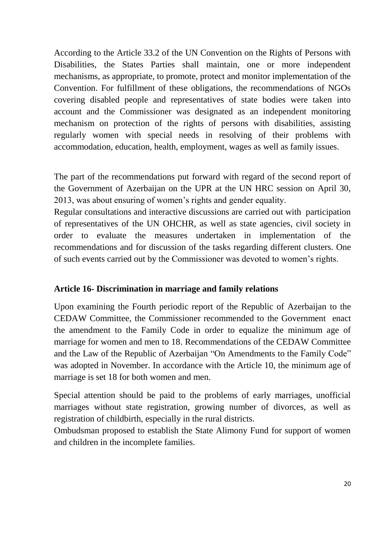According to the Article 33.2 of the UN Convention on the Rights of Persons with Disabilities, the States Parties shall maintain, one or more independent mechanisms, as appropriate, to promote, protect and monitor implementation of the Convention. For fulfillment of these obligations, the recommendations of NGOs covering disabled people and representatives of state bodies were taken into account and the Commissioner was designated as an independent monitoring mechanism on protection of the rights of persons with disabilities, assisting regularly women with special needs in resolving of their problems with accommodation, education, health, employment, wages as well as family issues.

The part of the recommendations put forward with regard of the second report of the Government of Azerbaijan on the UPR at the UN HRC session on April 30, 2013, was about ensuring of women's rights and gender equality.

Regular consultations and interactive discussions are carried out with participation of representatives of the UN OHCHR, as well as state agencies, civil society in order to evaluate the measures undertaken in implementation of the recommendations and for discussion of the tasks regarding different clusters. One of such events carried out by the Commissioner was devoted to women's rights.

## **Article 16- Discrimination in marriage and family relations**

Upon examining the Fourth periodic report of the Republic of Azerbaijan to the CEDAW Committee, the Commissioner recommended to the Government enact the amendment to the Family Code in order to equalize the minimum age of marriage for women and men to 18. Recommendations of the CEDAW Committee and the Law of the Republic of Azerbaijan "On Amendments to the Family Code" was adopted in November. In accordance with the Article 10, the minimum age of marriage is set 18 for both women and men.

Special attention should be paid to the problems of early marriages, unofficial marriages without state registration, growing number of divorces, as well as registration of childbirth, especially in the rural districts.

Ombudsman proposed to establish the State Alimony Fund for support of women and children in the incomplete families.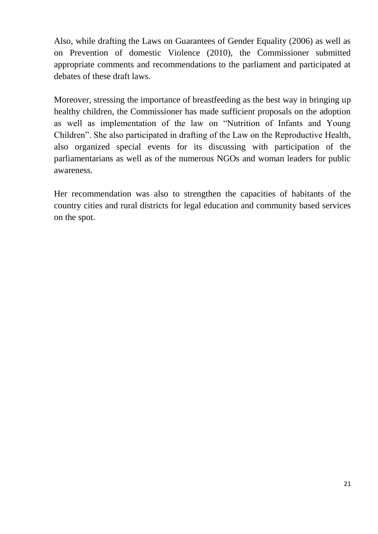Also, while drafting the Laws on Guarantees of Gender Equality (2006) as well as on Prevention of domestic Violence (2010), the Commissioner submitted appropriate comments and recommendations to the parliament and participated at debates of these draft laws.

Moreover, stressing the importance of breastfeeding as the best way in bringing up healthy children, the Commissioner has made sufficient proposals on the adoption as well as implementation of the law on "Nutrition of Infants and Young Children". She also participated in drafting of the Law on the Reproductive Health, also organized special events for its discussing with participation of the parliamentarians as well as of the numerous NGOs and woman leaders for public awareness.

Her recommendation was also to strengthen the capacities of habitants of the country cities and rural districts for legal education and community based services on the spot.